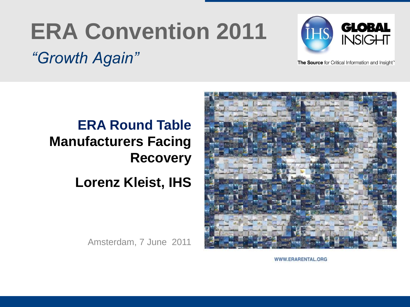# **ERA Convention 2011**





The Source for Critical Information and Insight"

## **ERA Round Table Manufacturers Facing Recovery Lorenz Kleist, IHS**

Amsterdam, 7 June 2011



WWW.ERARENTAL.ORG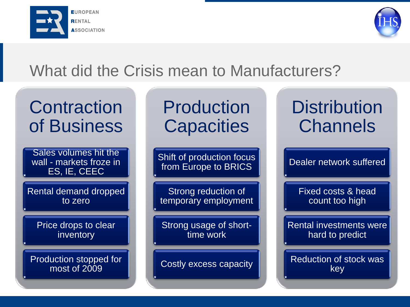



### What did the Crisis mean to Manufacturers?

## **Contraction** of Business

Sales volumes hit the wall - markets froze in ES, IE, CEEC

Rental demand dropped to zero

Price drops to clear inventory

Production stopped for most of 2009

Production **Capacities** 

Shift of production focus from Europe to BRICS

Strong reduction of temporary employment

Strong usage of shorttime work

Costly excess capacity

# **Distribution Channels**

Dealer network suffered

Fixed costs & head count too high

Rental investments were hard to predict

Reduction of stock was key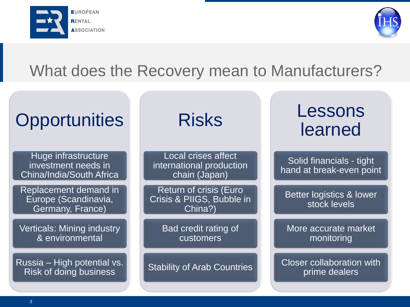



#### What does the Recovery mean to Manufacturers?

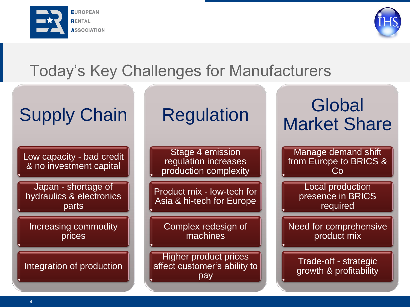



### Today's Key Challenges for Manufacturers

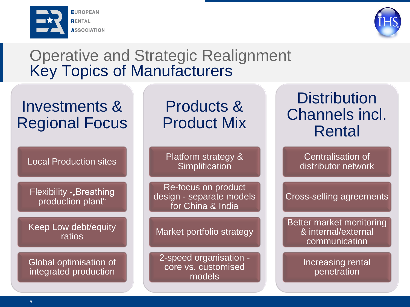



#### Operative and Strategic Realignment Key Topics of Manufacturers

#### Investments & Regional Focus

Local Production sites

Flexibility -"Breathing production plant"

Keep Low debt/equity ratios

Global optimisation of integrated production

#### Products & Product Mix

Platform strategy & **Simplification** 

Re-focus on product design - separate models for China & India

Market portfolio strategy

2-speed organisation core vs. customised models

#### **Distribution** Channels incl. Rental

Centralisation of distributor network

Cross-selling agreements

Better market monitoring & internal/external communication

> Increasing rental penetration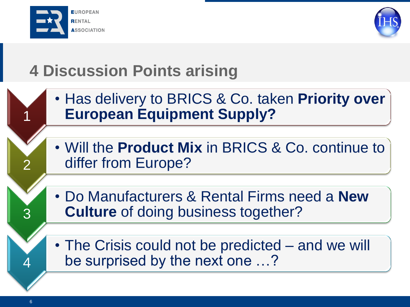



# **4 Discussion Points arising**

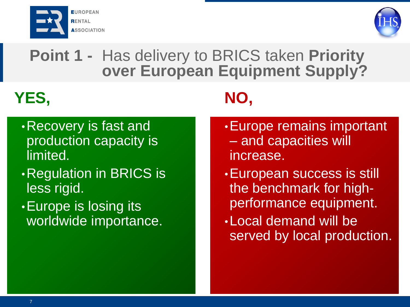



#### **Point 1 -** Has delivery to BRICS taken **Priority over European Equipment Supply?**

# **YES,**

**NO,** 

- •Recovery is fast and production capacity is limited.
- •Regulation in BRICS is less rigid.
- •Europe is losing its worldwide importance.
- •Europe remains important – and capacities will increase.
- •European success is still the benchmark for highperformance equipment.
- •Local demand will be served by local production.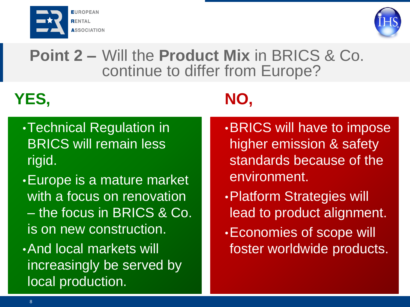



**Point 2 –** Will the **Product Mix** in BRICS & Co. continue to differ from Europe?

# **YES,**

**NO,**

- •Technical Regulation in BRICS will remain less rigid.
- •Europe is a mature market with a focus on renovation – the focus in BRICS & Co. is on new construction.
- •And local markets will increasingly be served by local production.
- •BRICS will have to impose higher emission & safety standards because of the environment.
- •Platform Strategies will lead to product alignment.
- •Economies of scope will foster worldwide products.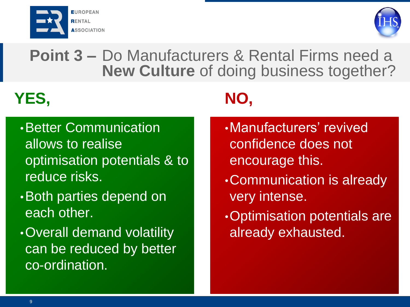



**Point 3 –** Do Manufacturers & Rental Firms need a **New Culture** of doing business together?

# **YES,**

- •Better Communication allows to realise optimisation potentials & to reduce risks.
- •Both parties depend on each other.
- •Overall demand volatility can be reduced by better co-ordination.

# **NO,**

- •Manufacturers' revived confidence does not encourage this.
- •Communication is already very intense.
- •Optimisation potentials are already exhausted.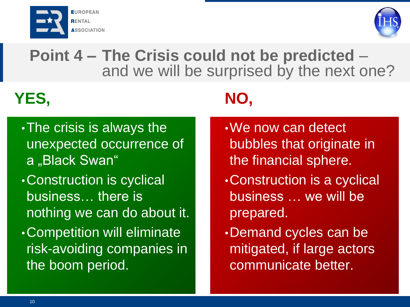



#### **Point 4 – The Crisis could not be predicted** – and we will be surprised by the next one?

# **YES, NO,**

•The crisis is always the unexpected occurrence of a "Black Swan" •Construction is cyclical business… there is nothing we can do about it. •Competition will eliminate risk-avoiding companies in the boom period.

- •We now can detect bubbles that originate in the financial sphere.
- •Construction is a cyclical business … we will be prepared.
- •Demand cycles can be mitigated, if large actors communicate better.